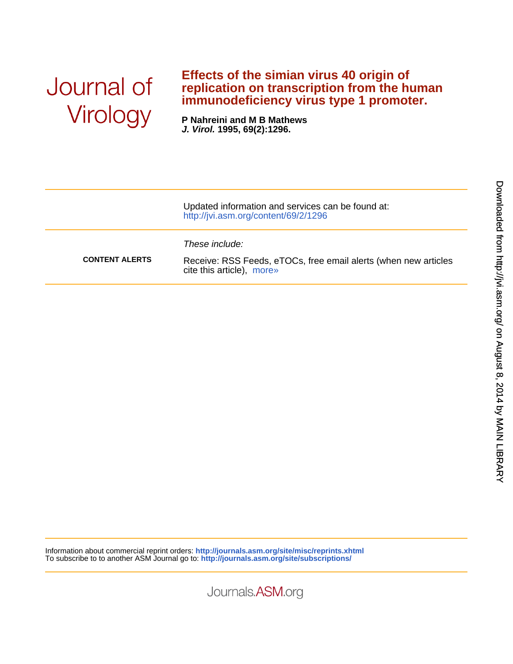## Journal of Virology

## **immunodeficiency virus type 1 promoter. replication on transcription from the human Effects of the simian virus 40 origin of**

**J. Virol. 1995, 69(2):1296. P Nahreini and M B Mathews**

|                       | Updated information and services can be found at:<br>http://jvi.asm.org/content/69/2/1296                      |
|-----------------------|----------------------------------------------------------------------------------------------------------------|
| <b>CONTENT ALERTS</b> | These include:<br>Receive: RSS Feeds, eTOCs, free email alerts (when new articles<br>cite this article), more» |

Information about commercial reprint orders: **<http://journals.asm.org/site/misc/reprints.xhtml>** To subscribe to to another ASM Journal go to: **<http://journals.asm.org/site/subscriptions/>**

Journals.ASM.org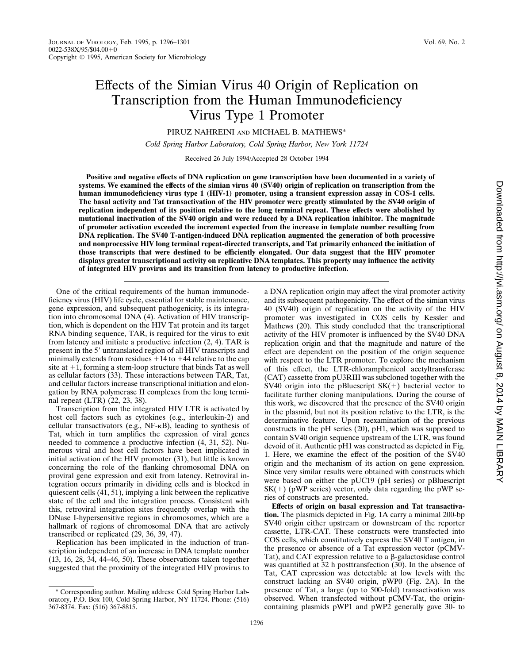## Effects of the Simian Virus 40 Origin of Replication on Transcription from the Human Immunodeficiency Virus Type 1 Promoter

PIRUZ NAHREINI AND MICHAEL B. MATHEWS\*

*Cold Spring Harbor Laboratory, Cold Spring Harbor, New York 11724*

Received 26 July 1994/Accepted 28 October 1994

**Positive and negative effects of DNA replication on gene transcription have been documented in a variety of systems. We examined the effects of the simian virus 40 (SV40) origin of replication on transcription from the human immunodeficiency virus type 1 (HIV-1) promoter, using a transient expression assay in COS-1 cells. The basal activity and Tat transactivation of the HIV promoter were greatly stimulated by the SV40 origin of replication independent of its position relative to the long terminal repeat. These effects were abolished by mutational inactivation of the SV40 origin and were reduced by a DNA replication inhibitor. The magnitude of promoter activation exceeded the increment expected from the increase in template number resulting from DNA replication. The SV40 T-antigen-induced DNA replication augmented the generation of both processive and nonprocessive HIV long terminal repeat-directed transcripts, and Tat primarily enhanced the initiation of those transcripts that were destined to be efficiently elongated. Our data suggest that the HIV promoter displays greater transcriptional activity on replicative DNA templates. This property may influence the activity of integrated HIV provirus and its transition from latency to productive infection.**

One of the critical requirements of the human immunodeficiency virus (HIV) life cycle, essential for stable maintenance, gene expression, and subsequent pathogenicity, is its integration into chromosomal DNA (4). Activation of HIV transcription, which is dependent on the HIV Tat protein and its target RNA binding sequence, TAR, is required for the virus to exit from latency and initiate a productive infection (2, 4). TAR is present in the 5' untranslated region of all HIV transcripts and minimally extends from residues  $+14$  to  $+44$  relative to the cap site at  $+1$ , forming a stem-loop structure that binds Tat as well as cellular factors (33). These interactions between TAR, Tat, and cellular factors increase transcriptional initiation and elongation by RNA polymerase II complexes from the long terminal repeat (LTR) (22, 23, 38).

Transcription from the integrated HIV LTR is activated by host cell factors such as cytokines (e.g., interleukin-2) and cellular transactivators (e.g., NF-kB), leading to synthesis of Tat, which in turn amplifies the expression of viral genes needed to commence a productive infection (4, 31, 52). Numerous viral and host cell factors have been implicated in initial activation of the HIV promoter (31), but little is known concerning the role of the flanking chromosomal DNA on proviral gene expression and exit from latency. Retroviral integration occurs primarily in dividing cells and is blocked in quiescent cells (41, 51), implying a link between the replicative state of the cell and the integration process. Consistent with this, retroviral integration sites frequently overlap with the DNase I-hypersensitive regions in chromosomes, which are a hallmark of regions of chromosomal DNA that are actively transcribed or replicated (29, 36, 39, 47).

Replication has been implicated in the induction of transcription independent of an increase in DNA template number (13, 16, 28, 34, 44–46, 50). These observations taken together suggested that the proximity of the integrated HIV provirus to

\* Corresponding author. Mailing address: Cold Spring Harbor Laboratory, P.O. Box 100, Cold Spring Harbor, NY 11724. Phone: (516) 367-8374. Fax: (516) 367-8815.

a DNA replication origin may affect the viral promoter activity and its subsequent pathogenicity. The effect of the simian virus 40 (SV40) origin of replication on the activity of the HIV promoter was investigated in COS cells by Kessler and Mathews (20). This study concluded that the transcriptional activity of the HIV promoter is influenced by the SV40 DNA replication origin and that the magnitude and nature of the effect are dependent on the position of the origin sequence with respect to the LTR promoter. To explore the mechanism of this effect, the LTR-chloramphenicol acetyltransferase (CAT) cassette from pU3RIII was subcloned together with the SV40 origin into the pBluescript  $SK(+)$  bacterial vector to facilitate further cloning manipulations. During the course of this work, we discovered that the presence of the SV40 origin in the plasmid, but not its position relative to the LTR, is the determinative feature. Upon reexamination of the previous constructs in the pH series (20), pH1, which was supposed to contain SV40 origin sequence upstream of the LTR, was found devoid of it. Authentic pH1 was constructed as depicted in Fig. 1. Here, we examine the effect of the position of the SV40 origin and the mechanism of its action on gene expression. Since very similar results were obtained with constructs which were based on either the pUC19 (pH series) or pBluescript  $SK(+)$  (pWP series) vector, only data regarding the pWP series of constructs are presented.

**Effects of origin on basal expression and Tat transactivation.** The plasmids depicted in Fig. 1A carry a minimal 200-bp SV40 origin either upstream or downstream of the reporter cassette, LTR-CAT. These constructs were transfected into COS cells, which constitutively express the SV40 T antigen, in the presence or absence of a Tat expression vector (pCMV-Tat), and CAT expression relative to a  $\beta$ -galactosidase control was quantified at 32 h posttransfection (30). In the absence of Tat, CAT expression was detectable at low levels with the construct lacking an SV40 origin, pWP0 (Fig. 2A). In the presence of Tat, a large (up to 500-fold) transactivation was observed. When transfected without pCMV-Tat, the origincontaining plasmids pWP1 and pWP2 generally gave 30- to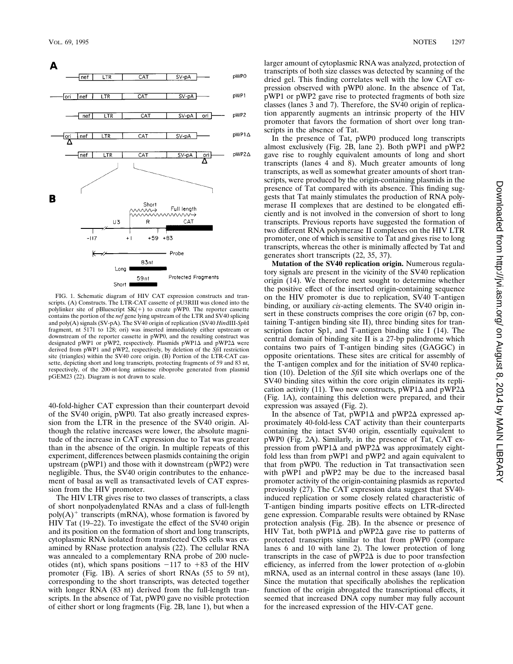

FIG. 1. Schematic diagram of HIV CAT expression constructs and transcripts. (A) Constructs. The LTR-CAT cassette of pU3RIII was cloned into the polylinker site of pBluescript  $SK(+)$  to create pWP0. The reporter cassette contains the portion of the *nef* gene lying upstream of the LTR and SV40 splicing and poly(A) signals (SV-pA). The SV40 origin of replication (SV40 *Hin*dIII-*Sph*I fragment, nt 5171 to 128; ori) was inserted immediately either upstream or downstream of the reporter cassette in pWP0, and the resulting construct was designated pWP1 or pWP2, respectively. Plasmids  $pWP1\Delta$  and  $pWP2\Delta$  were derived from pWP1 and pWP2, respectively, by deletion of the *Sfi*I restriction site (triangles) within the SV40 core origin. (B) Portion of the LTR-CAT cassette, depicting short and long transcripts, protecting fragments of 59 and 83 nt, respectively, of the 200-nt-long antisense riboprobe generated from plasmid pGEM23 (22). Diagram is not drawn to scale.

40-fold-higher CAT expression than their counterpart devoid of the SV40 origin, pWP0. Tat also greatly increased expression from the LTR in the presence of the SV40 origin. Although the relative increases were lower, the absolute magnitude of the increase in CAT expression due to Tat was greater than in the absence of the origin. In multiple repeats of this experiment, differences between plasmids containing the origin upstream (pWP1) and those with it downstream (pWP2) were negligible. Thus, the SV40 origin contributes to the enhancement of basal as well as transactivated levels of CAT expression from the HIV promoter.

The HIV LTR gives rise to two classes of transcripts, a class of short nonpolyadenylated RNAs and a class of full-length  $poly(A)^+$  transcripts (mRNA), whose formation is favored by HIV Tat (19–22). To investigate the effect of the SV40 origin and its position on the formation of short and long transcripts, cytoplasmic RNA isolated from transfected COS cells was examined by RNase protection analysis (22). The cellular RNA was annealed to a complementary RNA probe of 200 nucleotides (nt), which spans positions  $-117$  to  $+83$  of the HIV promoter (Fig. 1B). A series of short RNAs (55 to 59 nt), corresponding to the short transcripts, was detected together with longer RNA (83 nt) derived from the full-length transcripts. In the absence of Tat, pWP0 gave no visible protection of either short or long fragments (Fig. 2B, lane 1), but when a larger amount of cytoplasmic RNA was analyzed, protection of transcripts of both size classes was detected by scanning of the dried gel. This finding correlates well with the low CAT expression observed with pWP0 alone. In the absence of Tat, pWP1 or pWP2 gave rise to protected fragments of both size classes (lanes 3 and 7). Therefore, the SV40 origin of replication apparently augments an intrinsic property of the HIV promoter that favors the formation of short over long transcripts in the absence of Tat.

In the presence of Tat, pWP0 produced long transcripts almost exclusively (Fig. 2B, lane 2). Both pWP1 and pWP2 gave rise to roughly equivalent amounts of long and short transcripts (lanes 4 and 8). Much greater amounts of long transcripts, as well as somewhat greater amounts of short transcripts, were produced by the origin-containing plasmids in the presence of Tat compared with its absence. This finding suggests that Tat mainly stimulates the production of RNA polymerase II complexes that are destined to be elongated efficiently and is not involved in the conversion of short to long transcripts. Previous reports have suggested the formation of two different RNA polymerase II complexes on the HIV LTR promoter, one of which is sensitive to Tat and gives rise to long transcripts, whereas the other is minimally affected by Tat and generates short transcripts (22, 35, 37).

**Mutation of the SV40 replication origin.** Numerous regulatory signals are present in the vicinity of the SV40 replication origin (14). We therefore next sought to determine whether the positive effect of the inserted origin-containing sequence on the HIV promoter is due to replication, SV40 T-antigen binding, or auxiliary *cis*-acting elements. The SV40 origin insert in these constructs comprises the core origin (67 bp, containing T-antigen binding site II), three binding sites for transcription factor Sp1, and T-antigen binding site I (14). The central domain of binding site II is a 27-bp palindrome which contains two pairs of T-antigen binding sites (GAGGC) in opposite orientations. These sites are critical for assembly of the T-antigen complex and for the initiation of SV40 replication (10). Deletion of the *Sfi*I site which overlaps one of the SV40 binding sites within the core origin eliminates its replication activity (11). Two new constructs,  $pWP1\Delta$  and  $pWP2\Delta$ (Fig. 1A), containing this deletion were prepared, and their expression was assayed (Fig. 2).

In the absence of Tat,  $pWP1\Delta$  and  $pWP2\Delta$  expressed approximately 40-fold-less CAT activity than their counterparts containing the intact SV40 origin, essentially equivalent to pWP0 (Fig. 2A). Similarly, in the presence of Tat, CAT expression from pWP1 $\Delta$  and pWP2 $\Delta$  was approximately eightfold less than from pWP1 and pWP2 and again equivalent to that from pWP0. The reduction in Tat transactivation seen with pWP1 and pWP2 may be due to the increased basal promoter activity of the origin-containing plasmids as reported previously (27). The CAT expression data suggest that SV40 induced replication or some closely related characteristic of T-antigen binding imparts positive effects on LTR-directed gene expression. Comparable results were obtained by RNase protection analysis (Fig. 2B). In the absence or presence of HIV Tat, both pWP1 $\Delta$  and pWP2 $\Delta$  gave rise to patterns of protected transcripts similar to that from pWP0 (compare lanes 6 and 10 with lane 2). The lower protection of long transcripts in the case of  $pWP2\Delta$  is due to poor transfection efficiency, as inferred from the lower protection of  $\alpha$ -globin mRNA, used as an internal control in these assays (lane 10). Since the mutation that specifically abolishes the replication function of the origin abrogated the transcriptional effects, it seemed that increased DNA copy number may fully account for the increased expression of the HIV-CAT gene.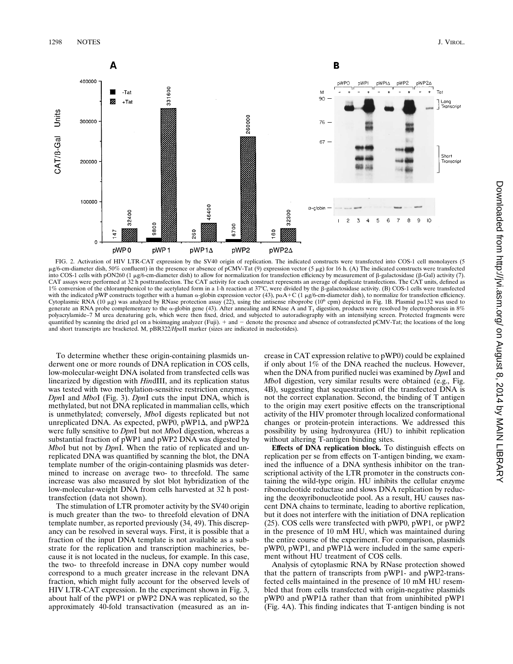

FIG. 2. Activation of HIV LTR-CAT expression by the SV40 origin of replication. The indicated constructs were transfected into COS-1 cell monolayers (5  $\mu$ g/6-cm-diameter dish, 50% confluent) in the presence or absence o into COS-1 cells with pON260 (1 mg/6-cm-diameter dish) to allow for normalization for transfection efficiency by measurement of b-galactosidase (b-Gal) activity (7). CAT assays were performed at 32 h posttransfection. The CAT activity for each construct represents an average of duplicate transfections. The CAT units, defined as 1% conversion of the chloramphenicol to the acetylated form in a 1-h reaction at 37°C, were divided by the  $\beta$ -galactosidase activity. (B) COS-1 cells were transfected with the indicated pWP constructs together with a human  $\alpha$ -globin expression vector (43), p $\alpha A + C$  (1  $\mu g/6$ -cm-diameter dish), to normalize for transfection efficiency. Cytoplasmic RNA (10 µg) was analyzed by RNase protection assay (22), using the antisense riboprobe (10<sup>6</sup> cpm) depicted in Fig. 1B. Plasmid pa132 was used to generate an RNA probe complementary to the  $\alpha$ -globin gene (43). After annealing and RNase A and T<sub>1</sub> digestion, products were resolved by electrophoresis in 8% polyacrylamide–7 M urea denaturing gels, which were then fixed, dried, and subjected to autoradiography with an intensifying screen. Protected fragments were quantified by scanning the dried gel on a bioimaging analyzer (Fuji). + and - denote the presence and absence of cotransfected pCMV-Tat; the locations of the long and short transcripts are bracketed. M, pBR322/*Hpa*II marker (sizes are indicated in nucleotides).

To determine whether these origin-containing plasmids underwent one or more rounds of DNA replication in COS cells, low-molecular-weight DNA isolated from transfected cells was linearized by digestion with *Hin*dIII, and its replication status was tested with two methylation-sensitive restriction enzymes, *Dpn*I and *Mbo*I (Fig. 3). *Dpn*I cuts the input DNA, which is methylated, but not DNA replicated in mammalian cells, which is unmethylated; conversely, *Mbo*I digests replicated but not unreplicated DNA. As expected, pWP0, pWP1 $\Delta$ , and pWP2 $\Delta$ were fully sensitive to *Dpn*I but not *Mbo*I digestion, whereas a substantial fraction of pWP1 and pWP2 DNA was digested by *Mbo*I but not by *Dpn*I. When the ratio of replicated and unreplicated DNA was quantified by scanning the blot, the DNA template number of the origin-containing plasmids was determined to increase on average two- to threefold. The same increase was also measured by slot blot hybridization of the low-molecular-weight DNA from cells harvested at 32 h posttransfection (data not shown).

The stimulation of LTR promoter activity by the SV40 origin is much greater than the two- to threefold elevation of DNA template number, as reported previously (34, 49). This discrepancy can be resolved in several ways. First, it is possible that a fraction of the input DNA template is not available as a substrate for the replication and transcription machineries, because it is not located in the nucleus, for example. In this case, the two- to threefold increase in DNA copy number would correspond to a much greater increase in the relevant DNA fraction, which might fully account for the observed levels of HIV LTR-CAT expression. In the experiment shown in Fig. 3, about half of the pWP1 or pWP2 DNA was replicated, so the approximately 40-fold transactivation (measured as an increase in CAT expression relative to pWP0) could be explained if only about 1% of the DNA reached the nucleus. However, when the DNA from purified nuclei was examined by *Dpn*I and *Mbo*I digestion, very similar results were obtained (e.g., Fig. 4B), suggesting that sequestration of the transfected DNA is not the correct explanation. Second, the binding of T antigen to the origin may exert positive effects on the transcriptional activity of the HIV promoter through localized conformational changes or protein-protein interactions. We addressed this possibility by using hydroxyurea (HU) to inhibit replication without altering T-antigen binding sites.

**Effects of DNA replication block.** To distinguish effects on replication per se from effects on T-antigen binding, we examined the influence of a DNA synthesis inhibitor on the transcriptional activity of the LTR promoter in the constructs containing the wild-type origin. HU inhibits the cellular enzyme ribonucleotide reductase and slows DNA replication by reducing the deoxyribonucleotide pool. As a result, HU causes nascent DNA chains to terminate, leading to abortive replication, but it does not interfere with the initiation of DNA replication (25). COS cells were transfected with pWP0, pWP1, or pWP2 in the presence of 10 mM HU, which was maintained during the entire course of the experiment. For comparison, plasmids  $pWP0$ ,  $pWP1$ , and  $pWP1\Delta$  were included in the same experiment without HU treatment of COS cells.

Analysis of cytoplasmic RNA by RNase protection showed that the pattern of transcripts from pWP1- and pWP2-transfected cells maintained in the presence of 10 mM HU resembled that from cells transfected with origin-negative plasmids  $pWP0$  and  $pWP1\Delta$  rather than that from uninhibited  $pWP1$ (Fig. 4A). This finding indicates that T-antigen binding is not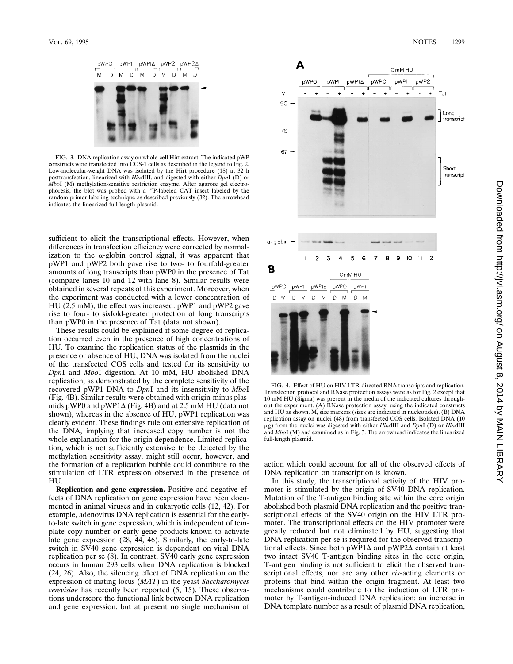

FIG. 3. DNA replication assay on whole-cell Hirt extract. The indicated pWP constructs were transfected into COS-1 cells as described in the legend to Fig. 2. Low-molecular-weight DNA was isolated by the Hirt procedure (18) at 32 h posttransfection, linearized with *Hin*dIII, and digested with either *Dpn*I (D) or *Mbo*I (M) methylation-sensitive restriction enzyme. After agarose gel electrophoresis, the blot was probed with a <sup>32</sup>P-labeled CAT insert labeled by the random primer labeling technique as described previously (32). The arrowhead indicates the linearized full-length plasmid.

sufficient to elicit the transcriptional effects. However, when differences in transfection efficiency were corrected by normalization to the  $\alpha$ -globin control signal, it was apparent that pWP1 and pWP2 both gave rise to two- to fourfold-greater amounts of long transcripts than pWP0 in the presence of Tat (compare lanes 10 and 12 with lane 8). Similar results were obtained in several repeats of this experiment. Moreover, when the experiment was conducted with a lower concentration of HU (2.5 mM), the effect was increased: pWP1 and pWP2 gave rise to four- to sixfold-greater protection of long transcripts than pWP0 in the presence of Tat (data not shown).

These results could be explained if some degree of replication occurred even in the presence of high concentrations of HU. To examine the replication status of the plasmids in the presence or absence of HU, DNA was isolated from the nuclei of the transfected COS cells and tested for its sensitivity to *Dpn*I and *Mbo*I digestion. At 10 mM, HU abolished DNA replication, as demonstrated by the complete sensitivity of the recovered pWP1 DNA to *Dpn*I and its insensitivity to *Mbo*I (Fig. 4B). Similar results were obtained with origin-minus plasmids pWP0 and pWP1 $\Delta$  (Fig. 4B) and at 2.5 mM HU (data not shown), whereas in the absence of HU, pWP1 replication was clearly evident. These findings rule out extensive replication of the DNA, implying that increased copy number is not the whole explanation for the origin dependence. Limited replication, which is not sufficiently extensive to be detected by the methylation sensitivity assay, might still occur, however, and the formation of a replication bubble could contribute to the stimulation of LTR expression observed in the presence of HU.

**Replication and gene expression.** Positive and negative effects of DNA replication on gene expression have been documented in animal viruses and in eukaryotic cells (12, 42). For example, adenovirus DNA replication is essential for the earlyto-late switch in gene expression, which is independent of template copy number or early gene products known to activate late gene expression (28, 44, 46). Similarly, the early-to-late switch in SV40 gene expression is dependent on viral DNA replication per se (8). In contrast, SV40 early gene expression occurs in human 293 cells when DNA replication is blocked (24, 26). Also, the silencing effect of DNA replication on the expression of mating locus (*MAT*) in the yeast *Saccharomyces cerevisiae* has recently been reported (5, 15). These observations underscore the functional link between DNA replication and gene expression, but at present no single mechanism of



FIG. 4. Effect of HU on HIV LTR-directed RNA transcripts and replication. Transfection protocol and RNase protection assays were as for Fig. 2 except that 10 mM HU (Sigma) was present in the media of the indicated cultures throughout the experiment. (A) RNase protection assay, using the indicated constructs and HU as shown. M, size markers (sizes are indicated in nucleotides). (B) DNA replication assay on nuclei (48) from transfected COS cells. Isolated DNA (10 mg) from the nuclei was digested with either *Hin*dIII and *Dpn*I (D) or *Hin*dIII and *Mbo*I (M) and examined as in Fig. 3. The arrowhead indicates the linearized full-length plasmid.

action which could account for all of the observed effects of DNA replication on transcription is known.

In this study, the transcriptional activity of the HIV promoter is stimulated by the origin of SV40 DNA replication. Mutation of the T-antigen binding site within the core origin abolished both plasmid DNA replication and the positive transcriptional effects of the SV40 origin on the HIV LTR promoter. The transcriptional effects on the HIV promoter were greatly reduced but not eliminated by HU, suggesting that DNA replication per se is required for the observed transcriptional effects. Since both  $pWP1\Delta$  and  $pWP2\Delta$  contain at least two intact SV40 T-antigen binding sites in the core origin, T-antigen binding is not sufficient to elicit the observed transcriptional effects, nor are any other *cis*-acting elements or proteins that bind within the origin fragment. At least two mechanisms could contribute to the induction of LTR promoter by T-antigen-induced DNA replication: an increase in DNA template number as a result of plasmid DNA replication,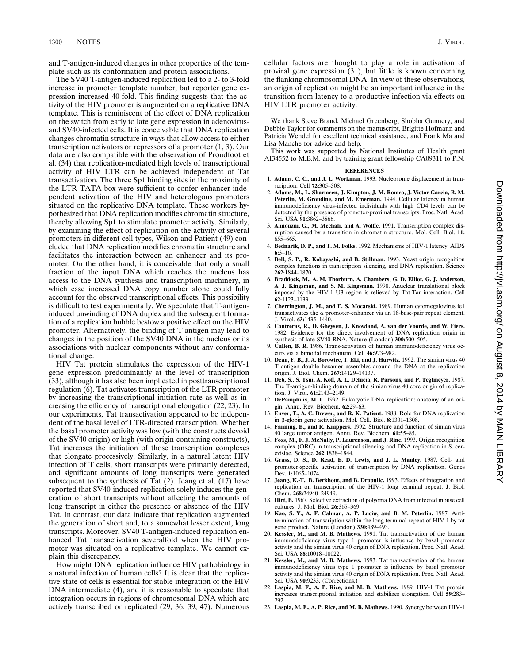and T-antigen-induced changes in other properties of the template such as its conformation and protein associations.

The SV40 T-antigen-induced replication led to a 2- to 3-fold increase in promoter template number, but reporter gene expression increased 40-fold. This finding suggests that the activity of the HIV promoter is augmented on a replicative DNA template. This is reminiscent of the effect of DNA replication on the switch from early to late gene expression in adenovirusand SV40-infected cells. It is conceivable that DNA replication changes chromatin structure in ways that allow access to either transcription activators or repressors of a promoter (1, 3). Our data are also compatible with the observation of Proudfoot et al. (34) that replication-mediated high levels of transcriptional activity of HIV LTR can be achieved independent of Tat transactivation. The three Sp1 binding sites in the proximity of the LTR TATA box were sufficient to confer enhancer-independent activation of the HIV and heterologous promoters situated on the replicative DNA template. These workers hypothesized that DNA replication modifies chromatin structure, thereby allowing Sp1 to stimulate promoter activity. Similarly, by examining the effect of replication on the activity of several promoters in different cell types, Wilson and Patient (49) concluded that DNA replication modifies chromatin structure and facilitates the interaction between an enhancer and its promoter. On the other hand, it is conceivable that only a small fraction of the input DNA which reaches the nucleus has access to the DNA synthesis and transcription machinery, in which case increased DNA copy number alone could fully account for the observed transcriptional effects. This possibility is difficult to test experimentally. We speculate that T-antigeninduced unwinding of DNA duplex and the subsequent formation of a replication bubble bestow a positive effect on the HIV promoter. Alternatively, the binding of T antigen may lead to changes in the position of the SV40 DNA in the nucleus or its associations with nuclear components without any conformational change.

HIV Tat protein stimulates the expression of the HIV-1 gene expression predominantly at the level of transcription (33), although it has also been implicated in posttranscriptional regulation (6). Tat activates transcription of the LTR promoter by increasing the transcriptional initiation rate as well as increasing the efficiency of transcriptional elongation (22, 23). In our experiments, Tat transactivation appeared to be independent of the basal level of LTR-directed transcription. Whether the basal promoter activity was low (with the constructs devoid of the SV40 origin) or high (with origin-containing constructs), Tat increases the initiation of those transcription complexes that elongate processively. Similarly, in a natural latent HIV infection of T cells, short transcripts were primarily detected, and significant amounts of long transcripts were generated subsequent to the synthesis of Tat  $(2)$ . Jeang et al.  $(17)$  have reported that SV40-induced replication solely induces the generation of short transcripts without affecting the amounts of long transcript in either the presence or absence of the HIV Tat. In contrast, our data indicate that replication augmented the generation of short and, to a somewhat lesser extent, long transcripts. Moreover, SV40 T-antigen-induced replication enhanced Tat transactivation severalfold when the HIV promoter was situated on a replicative template. We cannot explain this discrepancy.

How might DNA replication influence HIV pathobiology in a natural infection of human cells? It is clear that the replicative state of cells is essential for stable integration of the HIV DNA intermediate (4), and it is reasonable to speculate that integration occurs in regions of chromosomal DNA which are actively transcribed or replicated (29, 36, 39, 47). Numerous

cellular factors are thought to play a role in activation of proviral gene expression (31), but little is known concerning the flanking chromosomal DNA. In view of these observations, an origin of replication might be an important influence in the transition from latency to a productive infection via effects on HIV LTR promoter activity.

We thank Steve Brand, Michael Greenberg, Shobha Gunnery, and Debbie Taylor for comments on the manuscript, Brigitte Hofmann and Patricia Wendel for excellent technical assistance, and Frank Ma and Lisa Manche for advice and help.

This work was supported by National Institutes of Health grant AI34552 to M.B.M. and by training grant fellowship CA09311 to P.N.

## **REFERENCES**

- 1. **Adams, C. C., and J. L. Workman.** 1993. Nucleosome displacement in transcription. Cell **72:**305–308.
- 2. **Adams, M., L. Sharmeen, J. Kimpton, J. M. Romeo, J. Victor Garcia, B. M. Peterlin, M. Groudine, and M. Emerman.** 1994. Cellular latency in human immunodeficiency virus-infected individuals with high CD4 levels can be detected by the presence of promoter-proximal transcripts. Proc. Natl. Acad. Sci. USA **91:**3862–3866.
- 3. **Almouzni, G., M. Mechali, and A. Wolffe.** 1991. Transcription complex disruption caused by a transition in chromatin structure. Mol. Cell. Biol. **11:** 655–665.
- 4. **Bednarik, D. P., and T. M. Folks.** 1992. Mechanisms of HIV-1 latency. AIDS **6:**3–16.
- 5. **Bell, S. P., R. Kobayashi, and B. Stillman.** 1993. Yeast origin recognition complex functions in transcription silencing, and DNA replication. Science **262:**1844–1870.
- 6. **Braddock, M., A. M. Thorburn, A. Chambers, G. D. Elliot, G. J. Anderson, A. J. Kingsman, and S. M. Kingsman.** 1990. Anuclear translational block imposed by the HIV-1 U3 region is relieved by Tat-Tar interaction. Cell **62:**1123–1133.
- 7. **Cherrington, J. M., and E. S. Mocarski.** 1989. Human cytomegalovirus ie1 transactivates the  $\alpha$  promoter-enhancer via an 18-base-pair repeat element. J. Virol. **63:**1435–1440.
- 8. **Contreras, R., D. Gheysen, J. Knowland, A. van der Voorde, and W. Fiers.** 1982. Evidence for the direct involvement of DNA replication origin in synthesis of late SV40 RNA. Nature (London) **300:**500–505.
- 9. **Cullen, B. R.** 1986. Trans-activation of human immunodeficiency virus occurs via a bimodal mechanism. Cell **46:**973–982.
- 10. **Dean, F. B., J. A. Borowiec, T. Eki, and J. Hurwitz.** 1992. The simian virus 40 T antigen double hexamer assembles around the DNA at the replication origin. J. Biol. Chem. **267:**14129–14137.
- 11. **Deb, S., S. Tsui, A. Koff, A. L. Delucia, R. Parsons, and P. Tegtmeyer.** 1987. The T-antigen-binding domain of the simian virus 40 core origin of replication. J. Virol. **61:**2143–2149.
- 12. **DePamphilis, M. L.** 1992. Eukaryotic DNA replication: anatomy of an origin. Annu. Rev. Biochem. **62:**29–63.
- 13. **Enver, T., A. C. Brewer, and R. K. Patient.** 1988. Role for DNA replication in b-globin gene activation. Mol. Cell. Biol. **8:**1301–1308.
- 14. **Fanning, E., and R. Knippers.** 1992. Structure and function of simian virus 40 large tumor antigen. Annu. Rev. Biochem. **61:**55–85.
- 15. **Foss, M., F. J. McNally, P. Laurenson, and J. Rine.** 1993. Origin recognition complex (ORC) in transcriptional silencing and DNA replication in S. cerevisiae. Science **262:**1838–1844.
- 16. **Grass, D. S., D. Read, E. D. Lewis, and J. L. Manley.** 1987. Cell- and promoter-specific activation of transcription by DNA replication. Genes Dev. **1:**1065–1074.
- 17. **Jeang, K.-T., B. Berkhout, and B. Dropulic.** 1993. Effects of integration and replication on transcription of the HIV-1 long terminal repeat. J. Biol. Chem. **268:**24940–24949.
- 18. **Hirt, B.** 1967. Selective extraction of polyoma DNA from infected mouse cell cultures. J. Mol. Biol. **26:**365–369.
- 19. **Kao, S. Y., A. F. Calman, A. P. Luciw, and B. M. Peterlin.** 1987. Antitermination of transcription within the long terminal repeat of HIV-1 by tat gene product. Nature (London) **330:**489–493.
- 20. **Kessler, M., and M. B. Mathews.** 1991. Tat transactivation of the human immunodeficiency virus type 1 promoter is influence by basal promoter activity and the simian virus 40 origin of DNA replication. Proc. Natl. Acad. Sci. USA **88:**10018–10022.
- 21. **Kessler, M., and M. B. Mathews.** 1993. Tat transactivation of the human immunodeficiency virus type 1 promoter is influence by basal promoter activity and the simian virus 40 origin of DNA replication. Proc. Natl. Acad. Sci. USA **90:**9233. (Corrections.)
- 22. **Laspia, M. F., A. P. Rice, and M. B. Mathews.** 1989. HIV-1 Tat protein increases transcriptional initiation and stabilizes elongation. Cell **59:**283– 292.
- 23. **Laspia, M. F., A. P. Rice, and M. B. Mathews.** 1990. Synergy between HIV-1